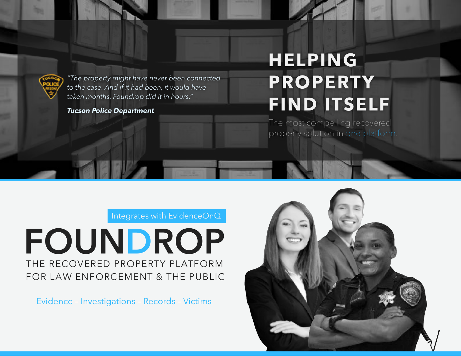

*"The property might have never been connected to the case. And if it had been, it would have taken months. Foundrop did it in hours."*

*Tucson Police Department*

# **HELPING PROPERTY FIND ITSELF**

The most compelling recovered property solution in one platform.

Integrates with EvidenceOnQ

THE RECOVERED PROPERTY PLATFORM FOR LAW ENFORCEMENT & THE PUBLIC **FOUNDROP**

Evidence – Investigations – Records – Victims